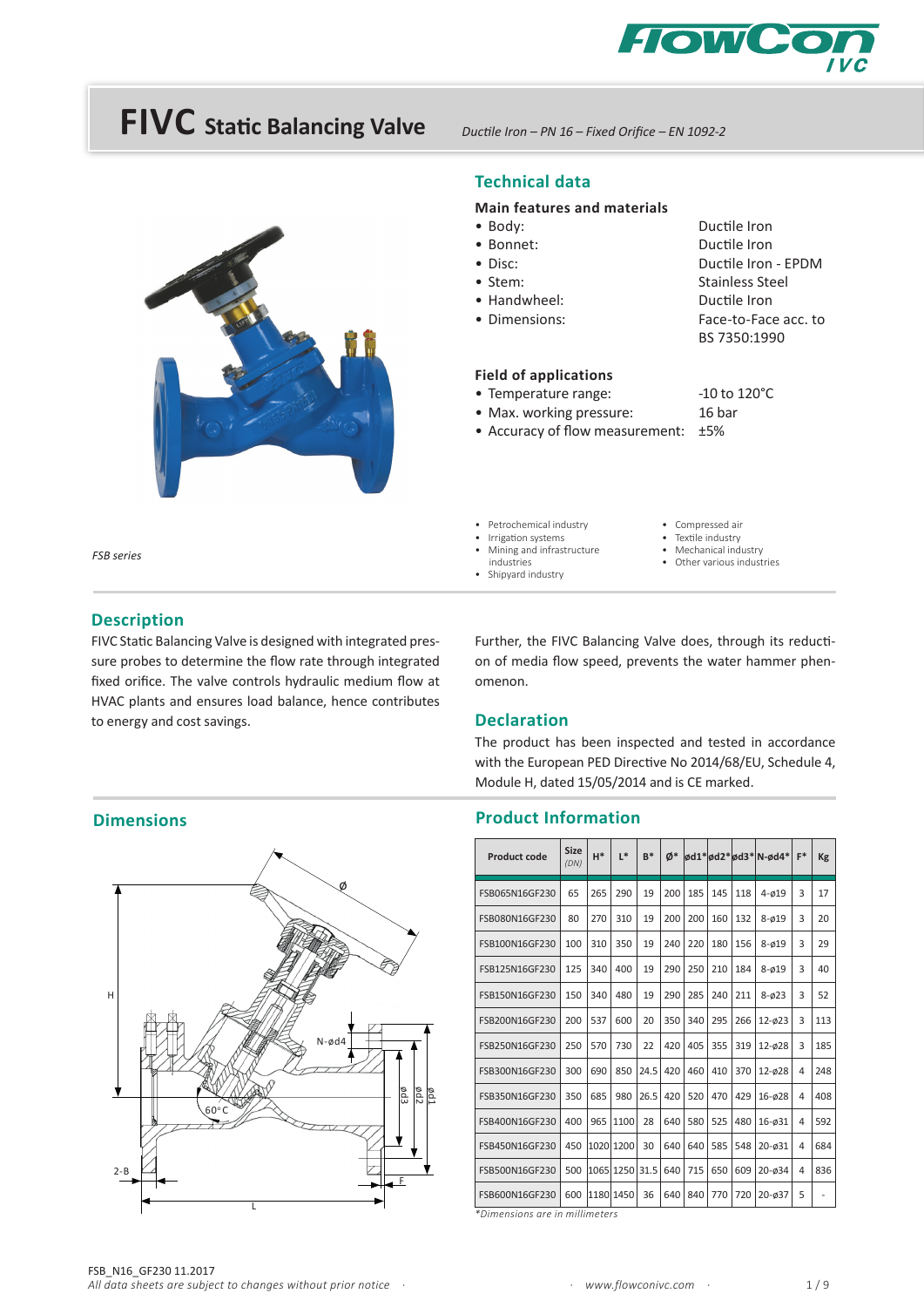



*Ductile Iron – PN 16 – Fixed Orifice – EN 1092-2*

#### **Technical data**

#### **Main features and materials**

- Body: Ductile Iron • Bonnet: Ductile Iron
- Disc: Ductile Iron EPDM • Stem: Stainless Steel • Handwheel: Ductile Iron • Dimensions: Face-to-Face acc. to BS 7350:1990 **Field of applications**
- Temperature range: -10 to 120°C
- Max. working pressure: 16 bar
- Accuracy of flow measurement:  $±5%$
- - Compressed air
		- Textile industry
			- Mechanical industry
		- Other various industries
- Shipyard industry

industries

• Petrochemical industry Irrigation systems • Mining and infrastructure

- -

#### **Description**

*FSB series*

FIVC Static Balancing Valve is designed with integrated pressure probes to determine the flow rate through integrated fixed orifice. The valve controls hydraulic medium flow at HVAC plants and ensures load balance, hence contributes to energy and cost savings.

Further, the FIVC Balancing Valve does, through its reduction of media flow speed, prevents the water hammer phenomenon.

#### **Declaration**

The product has been inspected and tested in accordance with the European PED Directive No 2014/68/EU, Schedule 4, Module H, dated 15/05/2014 and is CE marked.

#### **Product Information**

| Product code   | <b>Size</b><br>(DN) | $H^*$ | $\mathsf{I}^*$ | $B*$ | Ø*  |     |     |     | ød1*ød2*ød3* N-ød4* | $F^*$ | Kg  |
|----------------|---------------------|-------|----------------|------|-----|-----|-----|-----|---------------------|-------|-----|
| FSB065N16GF230 | 65                  | 265   | 290            | 19   | 200 | 185 | 145 | 118 | $4 - 019$           | 3     | 17  |
| FSB080N16GF230 | 80                  | 270   | 310            | 19   | 200 | 200 | 160 | 132 | $8 - 019$           | 3     | 20  |
| FSB100N16GF230 | 100                 | 310   | 350            | 19   | 240 | 220 | 180 | 156 | $8 - 019$           | 3     | 29  |
| FSB125N16GF230 | 125                 | 340   | 400            | 19   | 290 | 250 | 210 | 184 | $8 - 019$           | 3     | 40  |
| FSB150N16GF230 | 150                 | 340   | 480            | 19   | 290 | 285 | 240 | 211 | $8 - 023$           | 3     | 52  |
| FSB200N16GF230 | 200                 | 537   | 600            | 20   | 350 | 340 | 295 | 266 | $12 - 023$          | 3     | 113 |
| FSB250N16GF230 | 250                 | 570   | 730            | 22   | 420 | 405 | 355 | 319 | 12-028              | 3     | 185 |
| FSB300N16GF230 | 300                 | 690   | 850            | 24.5 | 420 | 460 | 410 | 370 | 12-028              | 4     | 248 |
| FSB350N16GF230 | 350                 | 685   | 980            | 26.5 | 420 | 520 | 470 | 429 | $16 - 028$          | 4     | 408 |
| FSB400N16GF230 | 400                 | 965   | 1100           | 28   | 640 | 580 | 525 | 480 | 16-031              | 4     | 592 |
| FSB450N16GF230 | 450                 | 1020  | 1200           | 30   | 640 | 640 | 585 | 548 | 20-031              | 4     | 684 |
| FSB500N16GF230 | 500                 | 1065  | 1250           | 31.5 | 640 | 715 | 650 | 609 | $20 - 034$          | 4     | 836 |
| FSB600N16GF230 | 600                 | 1180  | 1450           | 36   | 640 | 840 | 770 | 720 | 20-ø37              | 5     | ٠   |

*\*Dimensions are in millimeters* 

**Dimensions**

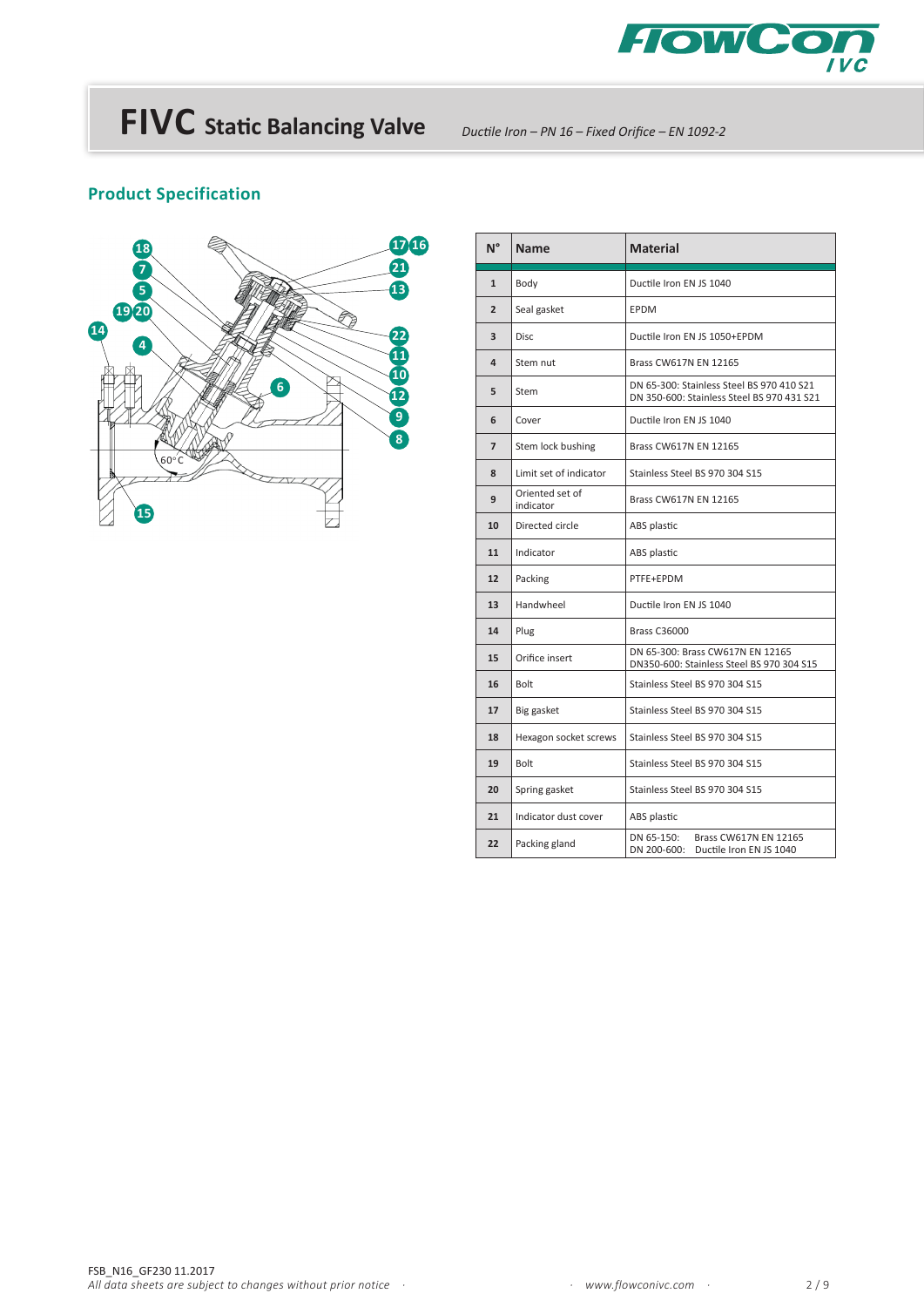

*Ductile Iron – PN 16 – Fixed Orifice – EN 1092-2*

### **Product Specification**



| $N^{\circ}$    | Name                         | <b>Material</b>                                                                         |  |  |  |  |  |  |
|----------------|------------------------------|-----------------------------------------------------------------------------------------|--|--|--|--|--|--|
| $\mathbf{1}$   | Body                         | Ductile Iron EN JS 1040                                                                 |  |  |  |  |  |  |
| $\overline{2}$ | Seal gasket                  | <b>EPDM</b>                                                                             |  |  |  |  |  |  |
| 3              | Disc.                        | Ductile Iron EN JS 1050+EPDM                                                            |  |  |  |  |  |  |
| 4              | Stem nut                     | Brass CW617N EN 12165                                                                   |  |  |  |  |  |  |
| 5              | Stem                         | DN 65-300: Stainless Steel BS 970 410 S21<br>DN 350-600: Stainless Steel BS 970 431 S21 |  |  |  |  |  |  |
| 6              | Cover                        | Ductile Iron EN JS 1040                                                                 |  |  |  |  |  |  |
| $\overline{7}$ | Stem lock bushing            | <b>Brass CW617N EN 12165</b>                                                            |  |  |  |  |  |  |
| 8              | Limit set of indicator       | Stainless Steel BS 970 304 S15                                                          |  |  |  |  |  |  |
| 9              | Oriented set of<br>indicator | <b>Brass CW617N EN 12165</b>                                                            |  |  |  |  |  |  |
| 10             | Directed circle              | ABS plastic                                                                             |  |  |  |  |  |  |
| 11             | Indicator                    | ABS plastic                                                                             |  |  |  |  |  |  |
| 12             | Packing                      | PTFE+EPDM                                                                               |  |  |  |  |  |  |
| 13             | Handwheel                    | Ductile Iron EN JS 1040                                                                 |  |  |  |  |  |  |
| 14             | Plug                         | <b>Brass C36000</b>                                                                     |  |  |  |  |  |  |
| 15             | Orifice insert               | DN 65-300: Brass CW617N EN 12165<br>DN350-600: Stainless Steel BS 970 304 S15           |  |  |  |  |  |  |
| 16             | Bolt                         | Stainless Steel BS 970 304 S15                                                          |  |  |  |  |  |  |
| 17             | Big gasket                   | Stainless Steel BS 970 304 S15                                                          |  |  |  |  |  |  |
| 18             | Hexagon socket screws        | Stainless Steel BS 970 304 S15                                                          |  |  |  |  |  |  |
| 19             | Bolt                         | Stainless Steel BS 970 304 S15                                                          |  |  |  |  |  |  |
| 20             | Spring gasket                | Stainless Steel BS 970 304 S15                                                          |  |  |  |  |  |  |
| 21             | Indicator dust cover         | ABS plastic                                                                             |  |  |  |  |  |  |
| 22             | Packing gland                | DN 65-150:<br>Brass CW617N EN 12165<br>DN 200-600:<br>Ductile Iron EN JS 1040           |  |  |  |  |  |  |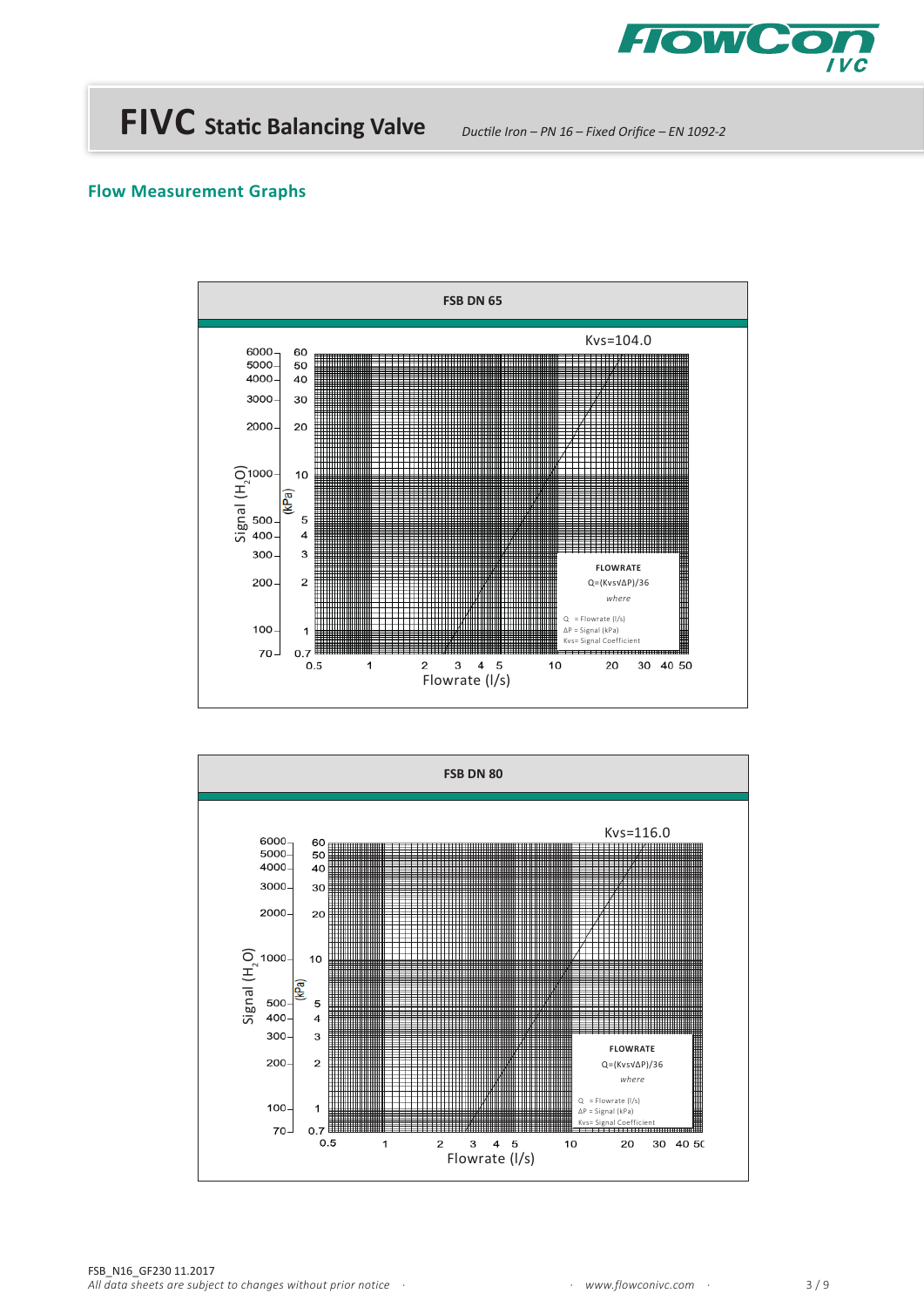

*Ductile Iron – PN 16 – Fixed Orifice – EN 1092-2*



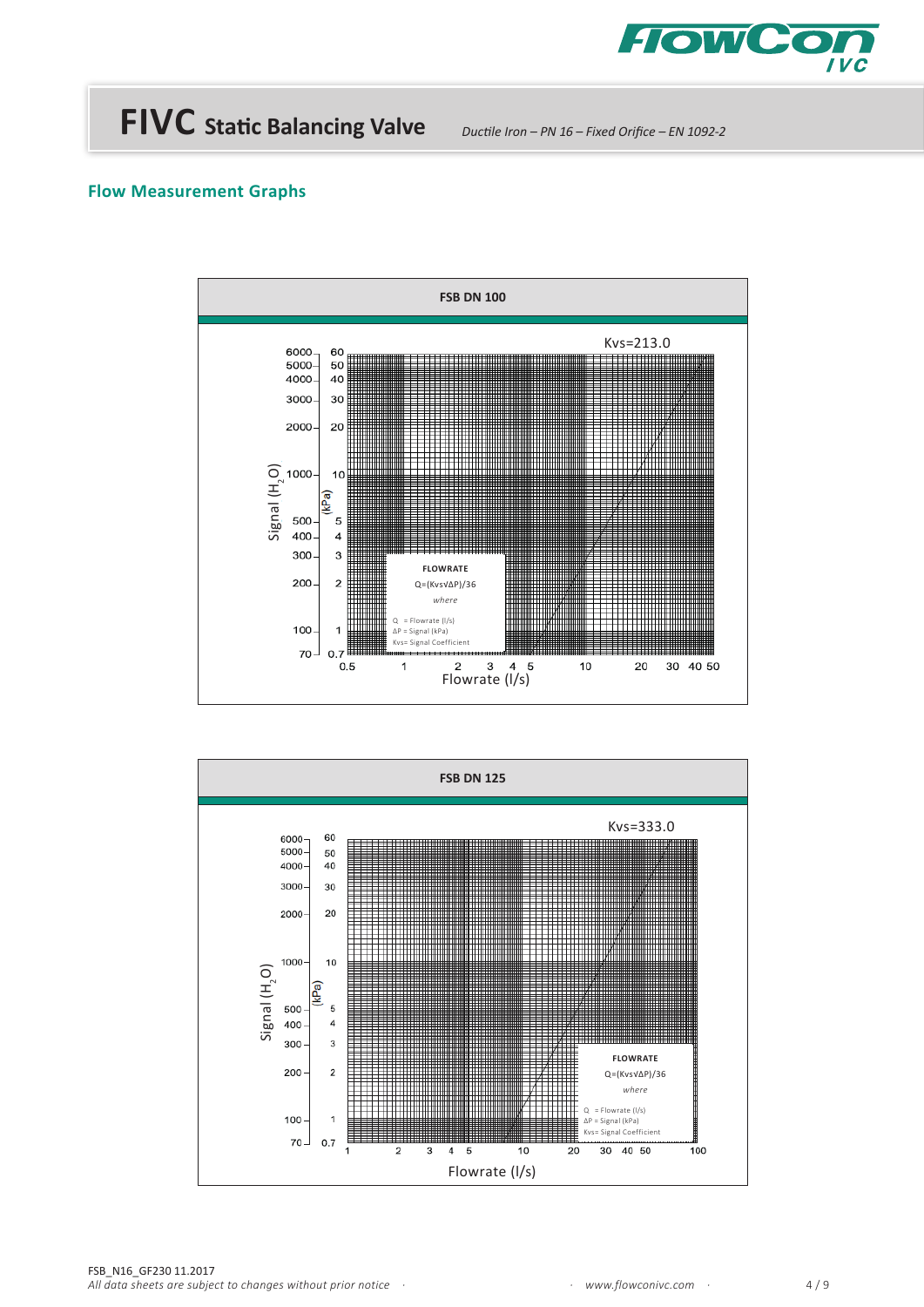

*Ductile Iron – PN 16 – Fixed Orifice – EN 1092-2*



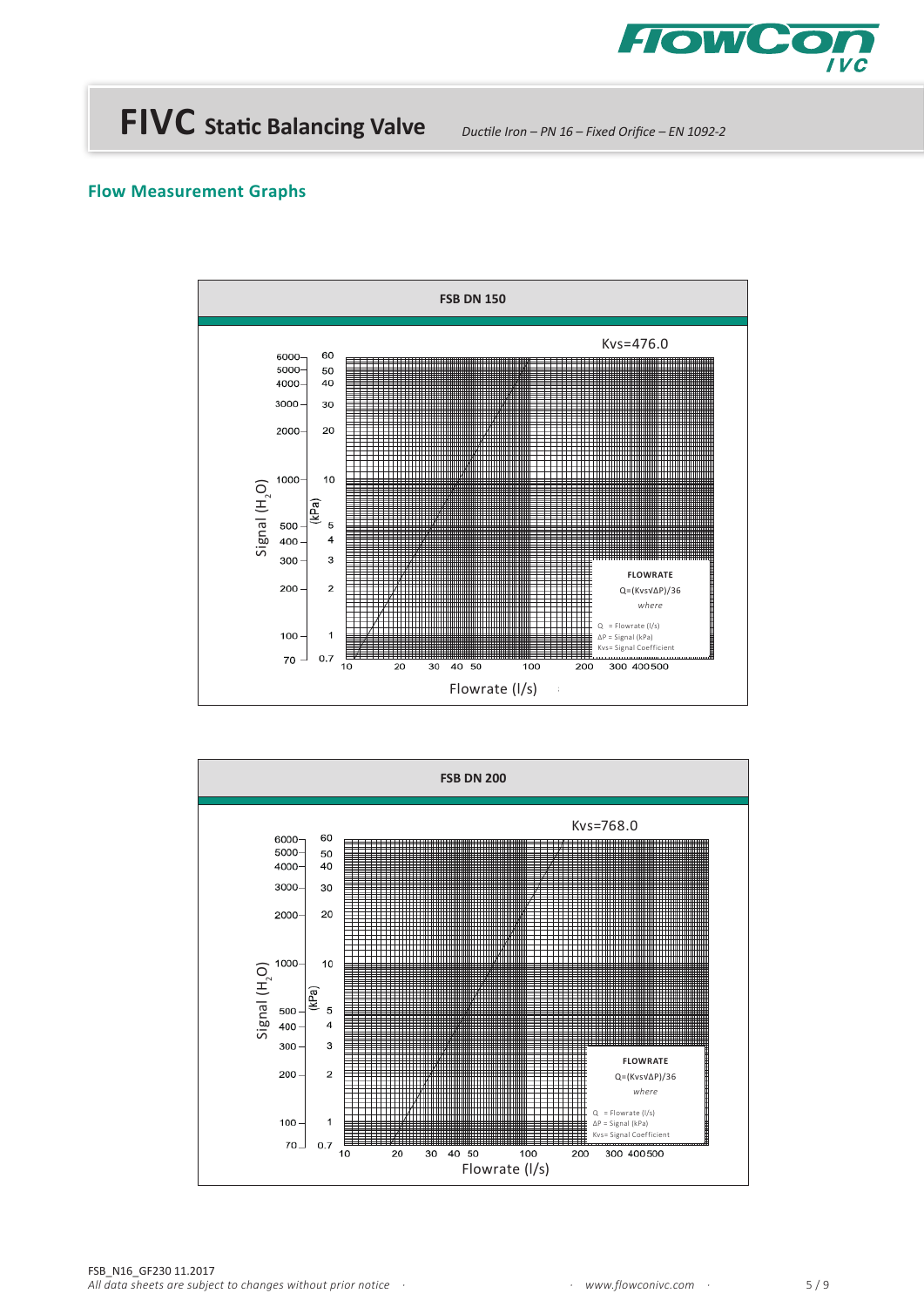

*Ductile Iron – PN 16 – Fixed Orifice – EN 1092-2*



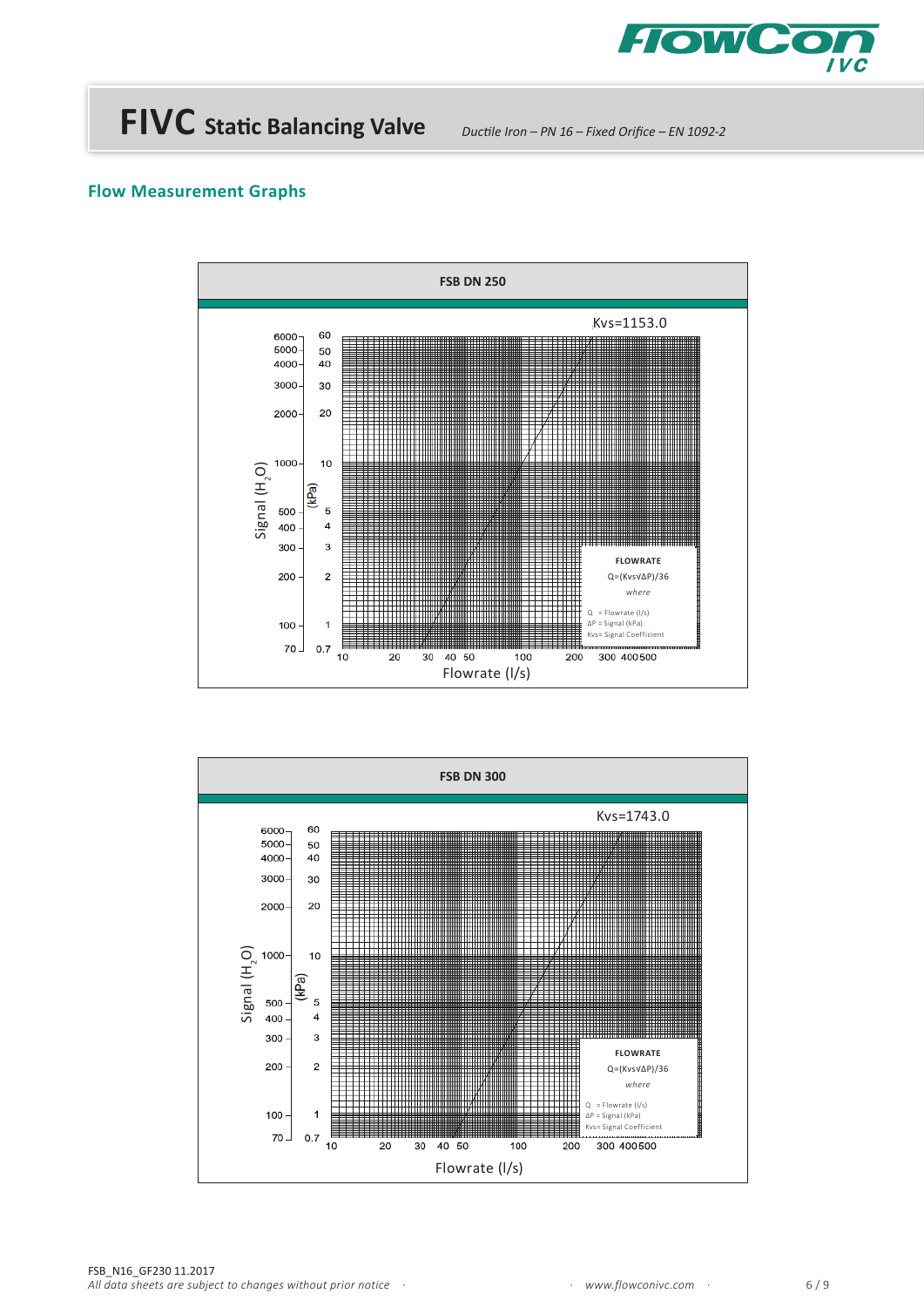

*Ductile Iron – PN 16 – Fixed Orifice – EN 1092-2*



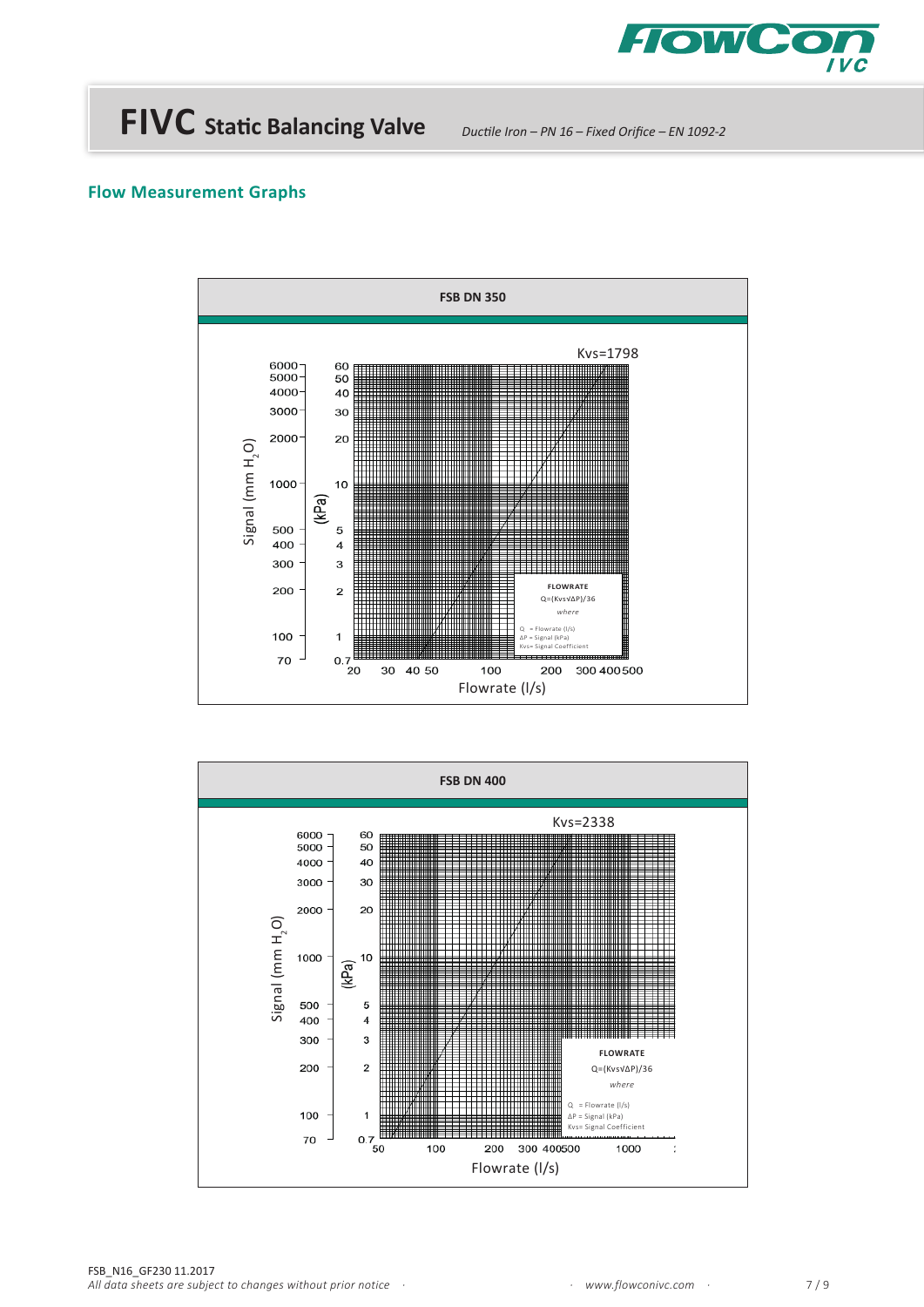

*Ductile Iron – PN 16 – Fixed Orifice – EN 1092-2*



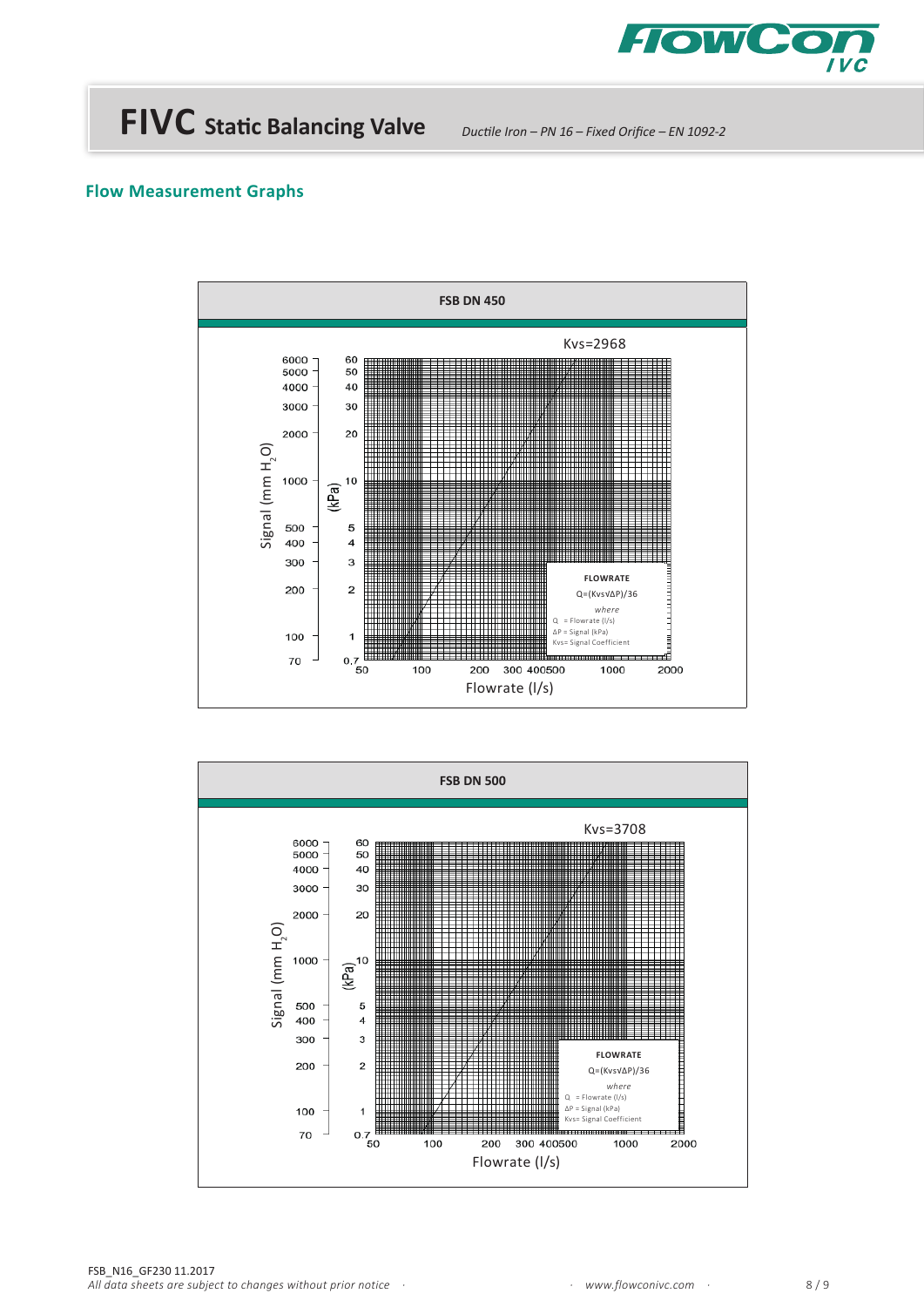

*Ductile Iron – PN 16 – Fixed Orifice – EN 1092-2*